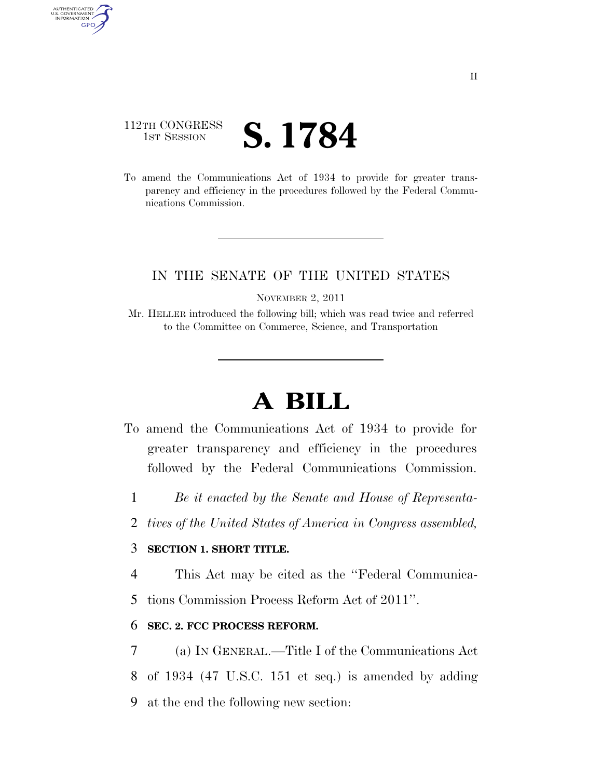# 112TH CONGRESS **IST SESSION S. 1784**

AUTHENTICATED<br>U.S. GOVERNMENT<br>INFORMATION GPO

> To amend the Communications Act of 1934 to provide for greater transparency and efficiency in the procedures followed by the Federal Communications Commission.

### IN THE SENATE OF THE UNITED STATES

NOVEMBER 2, 2011

Mr. HELLER introduced the following bill; which was read twice and referred to the Committee on Commerce, Science, and Transportation

# **A BILL**

- To amend the Communications Act of 1934 to provide for greater transparency and efficiency in the procedures followed by the Federal Communications Commission.
	- 1 *Be it enacted by the Senate and House of Representa-*
	- 2 *tives of the United States of America in Congress assembled,*

#### 3 **SECTION 1. SHORT TITLE.**

4 This Act may be cited as the ''Federal Communica-

5 tions Commission Process Reform Act of 2011''.

#### 6 **SEC. 2. FCC PROCESS REFORM.**

7 (a) IN GENERAL.—Title I of the Communications Act 8 of 1934 (47 U.S.C. 151 et seq.) is amended by adding 9 at the end the following new section: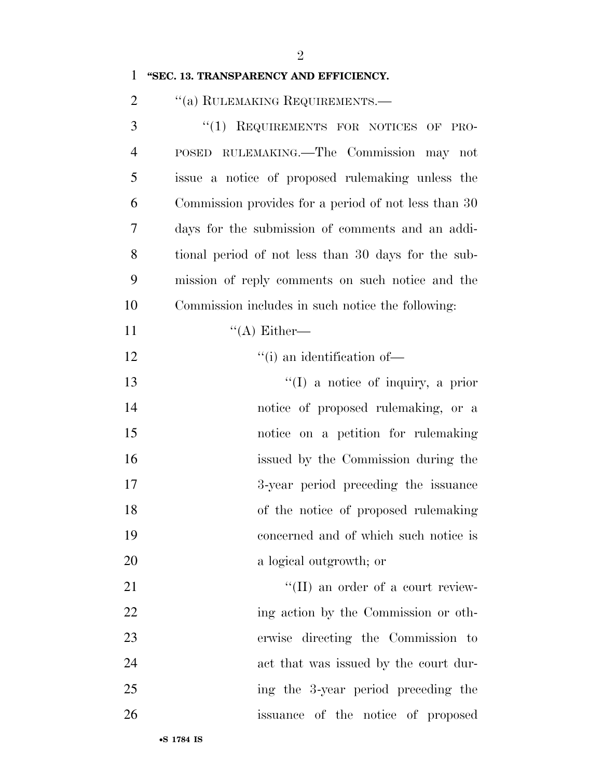#### **''SEC. 13. TRANSPARENCY AND EFFICIENCY.**

2 "(a) RULEMAKING REQUIREMENTS.—

 ''(1) REQUIREMENTS FOR NOTICES OF PRO- POSED RULEMAKING.—The Commission may not issue a notice of proposed rulemaking unless the Commission provides for a period of not less than 30 days for the submission of comments and an addi- tional period of not less than 30 days for the sub- mission of reply comments on such notice and the Commission includes in such notice the following:  $((A)$  Either—  $"$ (i) an identification of 13 ''(I) a notice of inquiry, a prior 14 notice of proposed rulemaking, or a notice on a petition for rulemaking issued by the Commission during the 3-year period preceding the issuance of the notice of proposed rulemaking concerned and of which such notice is a logical outgrowth; or  $\text{``(II)}$  an order of a court review-22 ing action by the Commission or oth-erwise directing the Commission to

- act that was issued by the court dur-
- ing the 3-year period preceding the
- issuance of the notice of proposed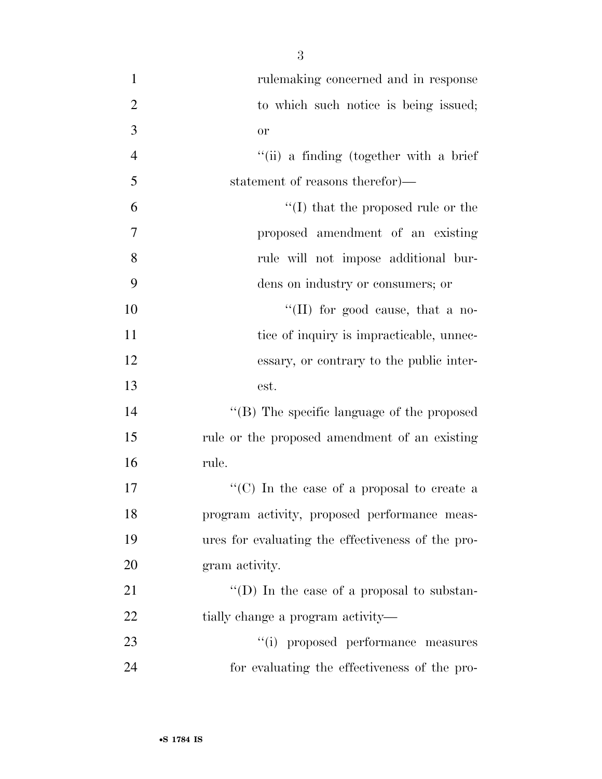rulemaking concerned and in response 2 to which such notice is being issued; or ''(ii) a finding (together with a brief statement of reasons therefor)—  $\mathfrak{g}$   $\mathfrak{t}'(I)$  that the proposed rule or the proposed amendment of an existing rule will not impose additional bur- dens on industry or consumers; or  $\text{``(II)}$  for good cause, that a no-11 tice of inquiry is impracticable, unnec- essary, or contrary to the public inter- est.  $\langle$  (B) The specific language of the proposed rule or the proposed amendment of an existing rule.  $\lq\lq$  (C) In the case of a proposal to create a program activity, proposed performance meas- ures for evaluating the effectiveness of the pro- gram activity.  $\langle (D) \rangle$  In the case of a proposal to substan-22 tially change a program activity—  $(1)$  proposed performance measures

for evaluating the effectiveness of the pro-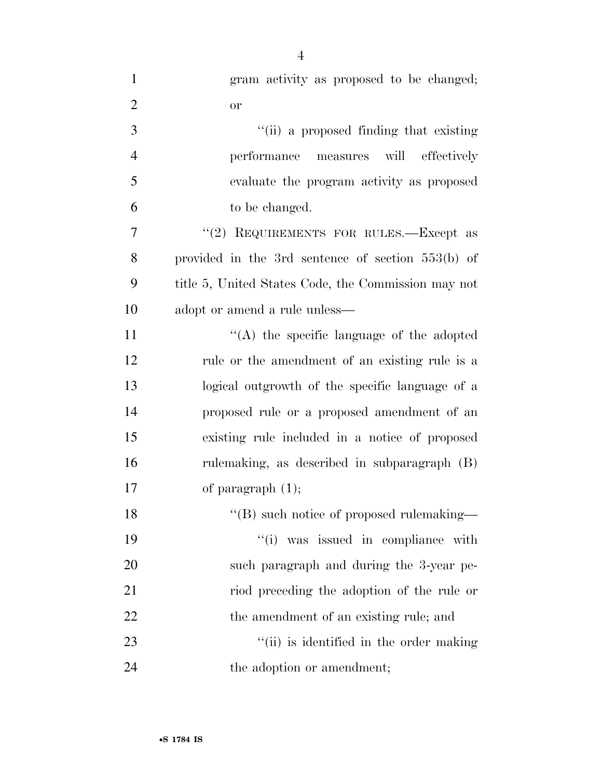| $\mathbf{1}$   | gram activity as proposed to be changed;            |
|----------------|-----------------------------------------------------|
| $\overline{2}$ | or                                                  |
| 3              | "(ii) a proposed finding that existing              |
| $\overline{4}$ | performance measures will effectively               |
| 5              | evaluate the program activity as proposed           |
| 6              | to be changed.                                      |
| 7              | "(2) REQUIREMENTS FOR RULES.—Except as              |
| 8              | provided in the 3rd sentence of section $553(b)$ of |
| 9              | title 5, United States Code, the Commission may not |
| 10             | adopt or amend a rule unless—                       |
| 11             | "(A) the specific language of the adopted           |
| 12             | rule or the amendment of an existing rule is a      |
| 13             | logical outgrowth of the specific language of a     |
| 14             | proposed rule or a proposed amendment of an         |
| 15             | existing rule included in a notice of proposed      |
| 16             | rulemaking, as described in subparagraph (B)        |
| 17             | of paragraph $(1)$ ;                                |
| 18             | "(B) such notice of proposed rulemaking—            |
| 19             | "(i) was issued in compliance with                  |
| 20             | such paragraph and during the 3-year pe-            |
| 21             | riod preceding the adoption of the rule or          |
| 22             | the amendment of an existing rule; and              |
| 23             | "(ii) is identified in the order making             |
| 24             | the adoption or amendment;                          |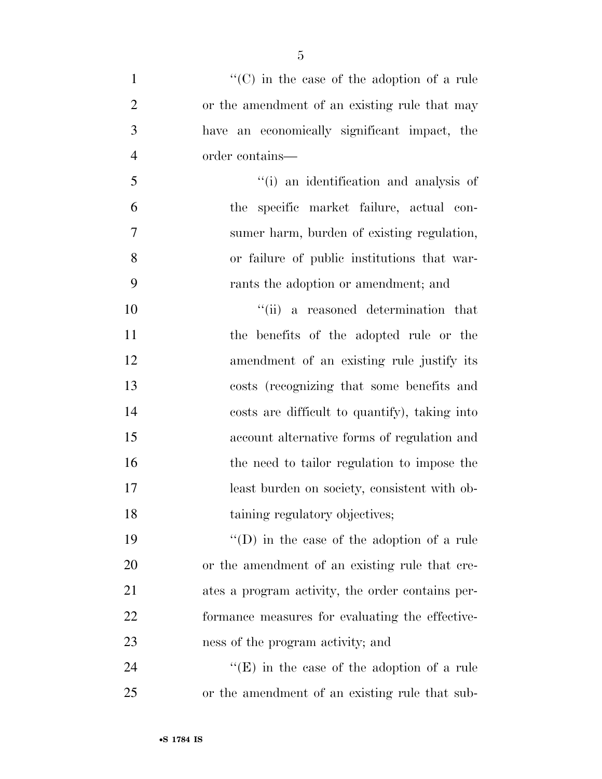| $\mathbf{1}$   | " $(C)$ in the case of the adoption of a rule      |
|----------------|----------------------------------------------------|
| $\overline{2}$ | or the amendment of an existing rule that may      |
| 3              | have an economically significant impact, the       |
| $\overline{4}$ | order contains—                                    |
| 5              | "(i) an identification and analysis of             |
| 6              | the specific market failure, actual con-           |
| 7              | sumer harm, burden of existing regulation,         |
| 8              | or failure of public institutions that war-        |
| 9              | rants the adoption or amendment; and               |
| 10             | "(ii) a reasoned determination that                |
| 11             | the benefits of the adopted rule or the            |
| 12             | amendment of an existing rule justify its          |
| 13             | costs (recognizing that some benefits and          |
| 14             | costs are difficult to quantify), taking into      |
| 15             | account alternative forms of regulation and        |
| 16             | the need to tailor regulation to impose the        |
| 17             | least burden on society, consistent with ob-       |
| 18             | taining regulatory objectives;                     |
| 19             | $\lq\lq$ (D) in the case of the adoption of a rule |
| 20             | or the amendment of an existing rule that cre-     |
| 21             | ates a program activity, the order contains per-   |
| 22             | formance measures for evaluating the effective-    |
| 23             | ness of the program activity; and                  |
| 24             | $\lq\lq(E)$ in the case of the adoption of a rule  |

or the amendment of an existing rule that sub-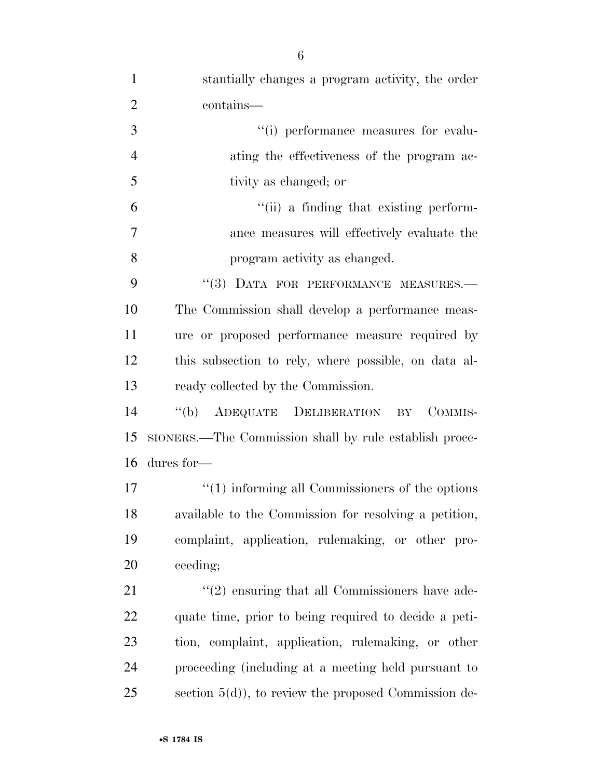| $\mathbf{1}$   | stantially changes a program activity, the order       |
|----------------|--------------------------------------------------------|
| $\overline{2}$ | contains—                                              |
| 3              | "(i) performance measures for evalu-                   |
| $\overline{4}$ | ating the effectiveness of the program ac-             |
| 5              | tivity as changed; or                                  |
| 6              | "(ii) a finding that existing perform-                 |
| 7              | ance measures will effectively evaluate the            |
| 8              | program activity as changed.                           |
| 9              | "(3) DATA FOR PERFORMANCE MEASURES.-                   |
| 10             | The Commission shall develop a performance meas-       |
| 11             | ure or proposed performance measure required by        |
| 12             | this subsection to rely, where possible, on data al-   |
| 13             | ready collected by the Commission.                     |
| 14             | "(b) ADEQUATE DELIBERATION<br>COMMIS-<br>BY            |
| 15             | SIONERS.—The Commission shall by rule establish proce- |
| 16             | dures for-                                             |
| 17             | $"(1)$ informing all Commissioners of the options      |
| 18             | available to the Commission for resolving a petition,  |
| 19             | complaint, application, rulemaking, or other pro-      |
| 20             | ceeding;                                               |
| 21             | $\lq(2)$ ensuring that all Commissioners have ade-     |
| 22             | quate time, prior to being required to decide a peti-  |
| 23             | tion, complaint, application, rulemaking, or other     |
| 24             | proceeding (including at a meeting held pursuant to    |
| 25             | section $5(d)$ , to review the proposed Commission de- |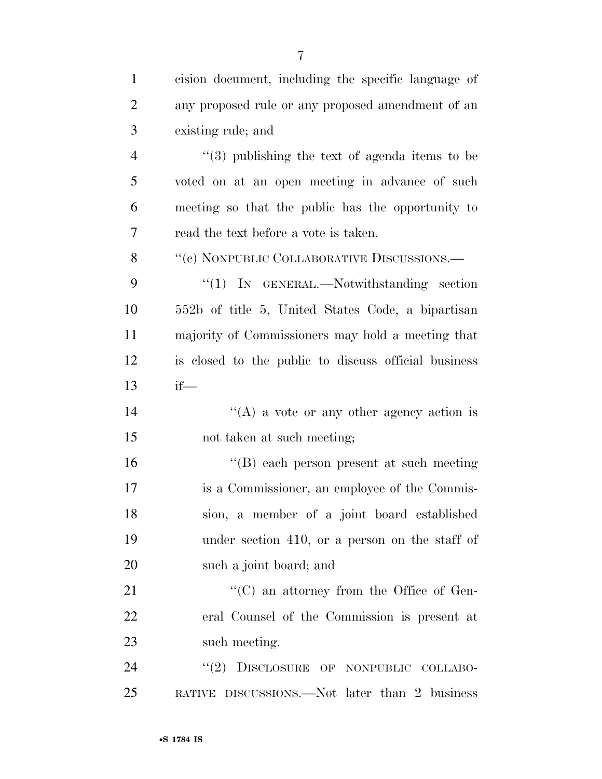| $\mathbf{1}$   | cision document, including the specific language of  |
|----------------|------------------------------------------------------|
| $\overline{2}$ | any proposed rule or any proposed amendment of an    |
| 3              | existing rule; and                                   |
| $\overline{4}$ | $(3)$ publishing the text of agenda items to be      |
| 5              | voted on at an open meeting in advance of such       |
| 6              | meeting so that the public has the opportunity to    |
| 7              | read the text before a vote is taken.                |
| 8              | "(c) NONPUBLIC COLLABORATIVE DISCUSSIONS.—           |
| 9              | " $(1)$ IN GENERAL.—Notwithstanding section          |
| 10             | 552b of title 5, United States Code, a bipartisan    |
| 11             | majority of Commissioners may hold a meeting that    |
| 12             | is closed to the public to discuss official business |
| 13             | $if$ —                                               |
| 14             | "(A) a vote or any other agency action is            |
| 15             | not taken at such meeting;                           |
| 16             | $\lq\lq$ each person present at such meeting         |
| 17             | is a Commissioner, an employee of the Commis-        |
| 18             | sion, a member of a joint board established          |
| 19             | under section 410, or a person on the staff of       |
| 20             | such a joint board; and                              |
| 21             | $\lq\lq$ (C) an attorney from the Office of Gen-     |
| 22             | eral Counsel of the Commission is present at         |
| 23             | such meeting.                                        |
| 24             | DISCLOSURE OF NONPUBLIC COLLABO-<br>(2)              |
| 25             | RATIVE DISCUSSIONS.—Not later than 2 business        |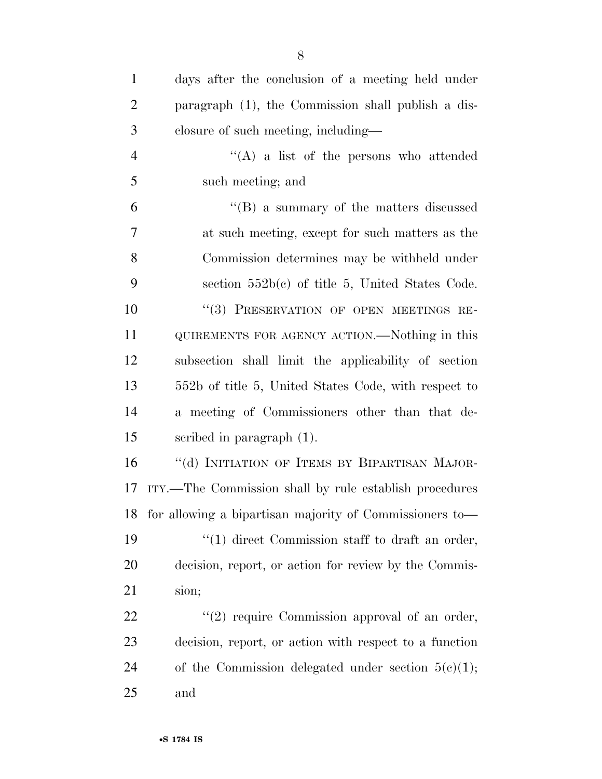| $\mathbf{1}$   | days after the conclusion of a meeting held under          |
|----------------|------------------------------------------------------------|
| $\overline{2}$ | paragraph (1), the Commission shall publish a dis-         |
| 3              | closure of such meeting, including—                        |
| $\overline{4}$ | $\lq\lq$ a list of the persons who attended                |
| 5              | such meeting; and                                          |
| 6              | $\lq\lq (B)$ a summary of the matters discussed            |
| 7              | at such meeting, except for such matters as the            |
| 8              | Commission determines may be withheld under                |
| 9              | section $552b(c)$ of title 5, United States Code.          |
| 10             | "(3) PRESERVATION OF OPEN MEETINGS RE-                     |
| 11             | QUIREMENTS FOR AGENCY ACTION.—Nothing in this              |
| 12             | subsection shall limit the applicability of section        |
| 13             | 552b of title 5, United States Code, with respect to       |
| 14             | a meeting of Commissioners other than that de-             |
| 15             | scribed in paragraph $(1)$ .                               |
| 16             | "(d) INITIATION OF ITEMS BY BIPARTISAN MAJOR-              |
| 17             | ITY.—The Commission shall by rule establish procedures     |
|                | 18 for allowing a bipartisan majority of Commissioners to— |
| 19             | $\lq(1)$ direct Commission staff to draft an order,        |
| 20             | decision, report, or action for review by the Commis-      |
| 21             | sion;                                                      |
| 22             | $\lq(2)$ require Commission approval of an order,          |
| 23             | decision, report, or action with respect to a function     |
| 24             | of the Commission delegated under section $5(e)(1)$ ;      |
| 25             | and                                                        |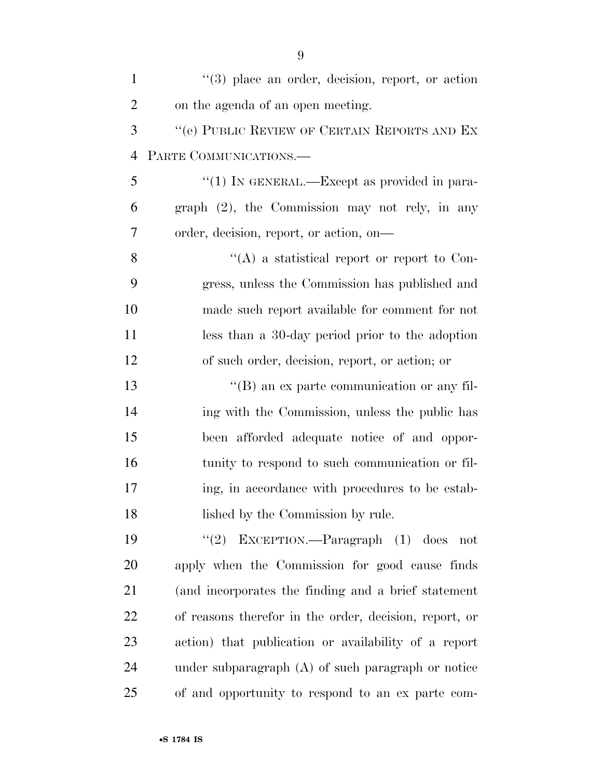| $\mathbf{1}$   | $(3)$ place an order, decision, report, or action      |
|----------------|--------------------------------------------------------|
| $\overline{2}$ | on the agenda of an open meeting.                      |
| 3              | "(e) PUBLIC REVIEW OF CERTAIN REPORTS AND EX           |
| $\overline{4}$ | PARTE COMMUNICATIONS.                                  |
| 5              | "(1) IN GENERAL.—Except as provided in para-           |
| 6              | $graph (2)$ , the Commission may not rely, in any      |
| 7              | order, decision, report, or action, on-                |
| 8              | "(A) a statistical report or report to Con-            |
| 9              | gress, unless the Commission has published and         |
| 10             | made such report available for comment for not         |
| 11             | less than a 30-day period prior to the adoption        |
| 12             | of such order, decision, report, or action; or         |
| 13             | $\lq\lq (B)$ an ex parte communication or any fil-     |
| 14             | ing with the Commission, unless the public has         |
| 15             | been afforded adequate notice of and oppor-            |
| 16             | tunity to respond to such communication or fil-        |
| 17             | ing, in accordance with procedures to be estab-        |
| 18             | lished by the Commission by rule.                      |
| 19             | "(2) EXCEPTION.—Paragraph $(1)$ does<br>not            |
| 20             | apply when the Commission for good cause finds         |
| 21             | (and incorporates the finding and a brief statement    |
| 22             | of reasons therefor in the order, decision, report, or |
| 23             | action) that publication or availability of a report   |
| 24             | under subparagraph $(A)$ of such paragraph or notice   |
| 25             | of and opportunity to respond to an ex parte com-      |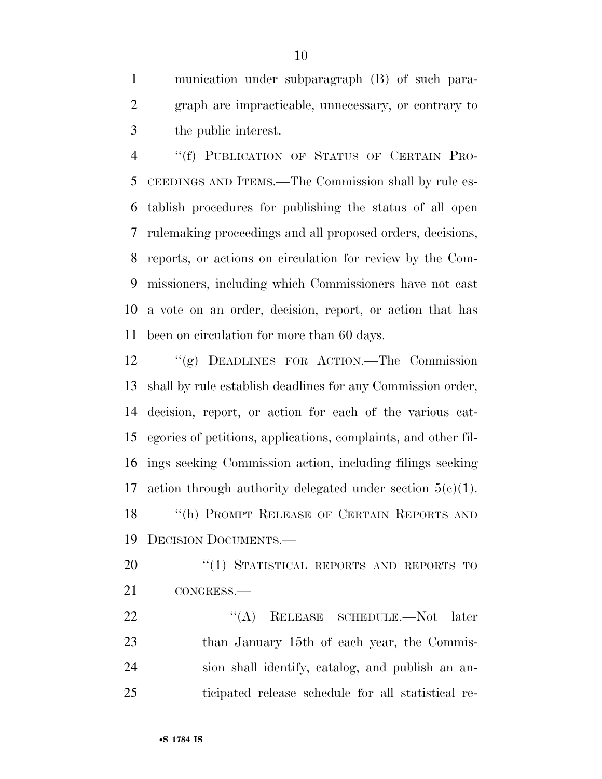munication under subparagraph (B) of such para- graph are impracticable, unnecessary, or contrary to the public interest.

 ''(f) PUBLICATION OF STATUS OF CERTAIN PRO- CEEDINGS AND ITEMS.—The Commission shall by rule es- tablish procedures for publishing the status of all open rulemaking proceedings and all proposed orders, decisions, reports, or actions on circulation for review by the Com- missioners, including which Commissioners have not cast a vote on an order, decision, report, or action that has been on circulation for more than 60 days.

 ''(g) DEADLINES FOR ACTION.—The Commission shall by rule establish deadlines for any Commission order, decision, report, or action for each of the various cat- egories of petitions, applications, complaints, and other fil- ings seeking Commission action, including filings seeking 17 action through authority delegated under section  $5(c)(1)$ . 18 "(h) PROMPT RELEASE OF CERTAIN REPORTS AND DECISION DOCUMENTS.—

20 "(1) STATISTICAL REPORTS AND REPORTS TO CONGRESS.—

22 "(A) RELEASE SCHEDULE.—Not later 23 than January 15th of each year, the Commis- sion shall identify, catalog, and publish an an-ticipated release schedule for all statistical re-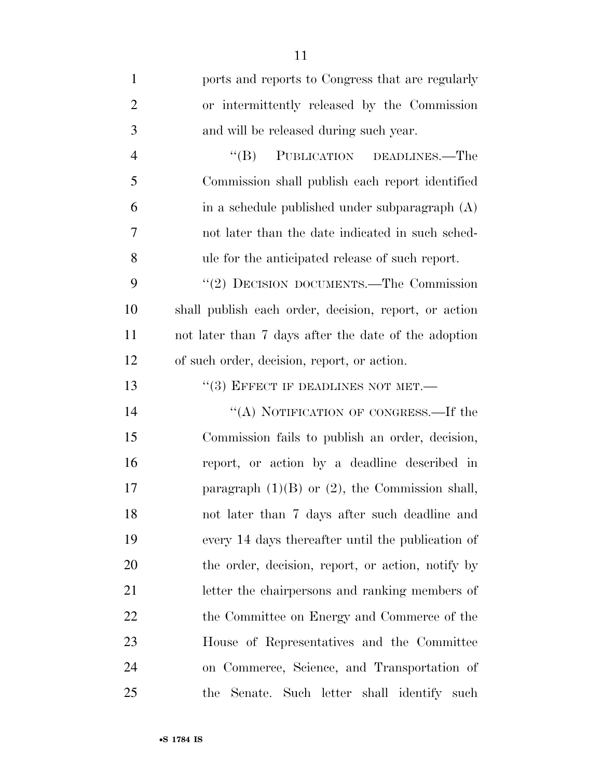| $\mathbf{1}$   | ports and reports to Congress that are regularly      |
|----------------|-------------------------------------------------------|
| $\overline{2}$ | or intermittently released by the Commission          |
| 3              | and will be released during such year.                |
| $\overline{4}$ | PUBLICATION DEADLINES.—The<br>$\lq\lq (B)$            |
| 5              | Commission shall publish each report identified       |
| 6              | in a schedule published under subparagraph (A)        |
| 7              | not later than the date indicated in such sched-      |
| 8              | ule for the anticipated release of such report.       |
| 9              | "(2) DECISION DOCUMENTS.—The Commission               |
| 10             | shall publish each order, decision, report, or action |
| 11             | not later than 7 days after the date of the adoption  |
| 12             | of such order, decision, report, or action.           |
| 13             | $``(3)$ EFFECT IF DEADLINES NOT MET.—                 |
| 14             | "(A) NOTIFICATION OF CONGRESS.—If the                 |
| 15             | Commission fails to publish an order, decision,       |
| 16             | report, or action by a deadline described in          |
| 17             | paragraph $(1)(B)$ or $(2)$ , the Commission shall,   |
| 18             | not later than 7 days after such deadline and         |
| 19             | every 14 days thereafter until the publication of     |
| 20             | the order, decision, report, or action, notify by     |
| 21             | letter the chairpersons and ranking members of        |
| 22             | the Committee on Energy and Commerce of the           |
| 23             | House of Representatives and the Committee            |
| 24             | on Commerce, Science, and Transportation of           |
| 25             | the Senate. Such letter shall identify such           |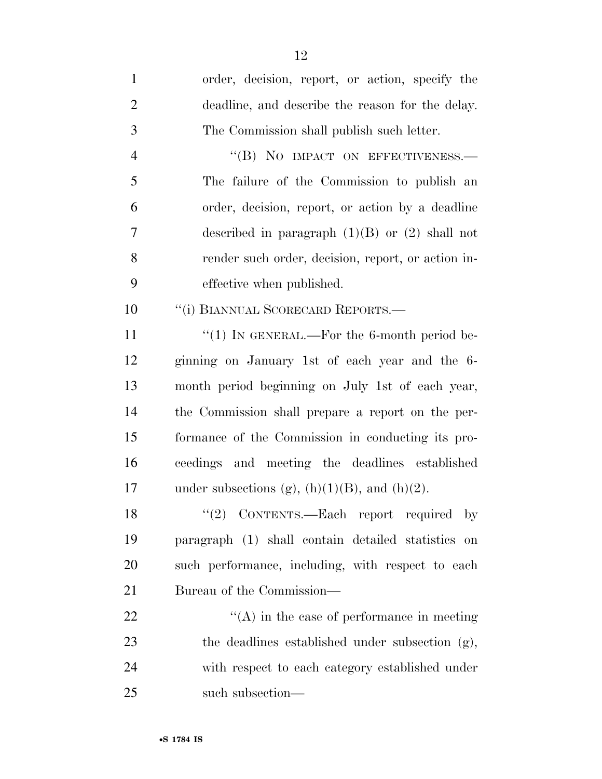| $\mathbf{1}$   | order, decision, report, or action, specify the       |
|----------------|-------------------------------------------------------|
| $\overline{2}$ | deadline, and describe the reason for the delay.      |
| 3              | The Commission shall publish such letter.             |
| $\overline{4}$ | "(B) NO IMPACT ON EFFECTIVENESS.-                     |
| 5              | The failure of the Commission to publish an           |
| 6              | order, decision, report, or action by a deadline      |
| 7              | described in paragraph $(1)(B)$ or $(2)$ shall not    |
| 8              | render such order, decision, report, or action in-    |
| 9              | effective when published.                             |
| 10             | "(i) BIANNUAL SCORECARD REPORTS.-                     |
| 11             | "(1) IN GENERAL.—For the 6-month period be-           |
| 12             | ginning on January 1st of each year and the 6-        |
| 13             | month period beginning on July 1st of each year,      |
| 14             | the Commission shall prepare a report on the per-     |
| 15             | formance of the Commission in conducting its pro-     |
| 16             | ceedings and meeting the deadlines established        |
| 17             | under subsections (g), $(h)(1)(B)$ , and $(h)(2)$ .   |
| 18             | CONTENTS.—Each report required by<br>(2)              |
| 19             | paragraph (1) shall contain detailed statistics<br>on |
| 20             | such performance, including, with respect to each     |
| 21             | Bureau of the Commission—                             |
| 22             | $\lq\lq$ in the case of performance in meeting        |
| 23             | the deadlines established under subsection (g),       |
| 24             | with respect to each category established under       |
| 25             | such subsection-                                      |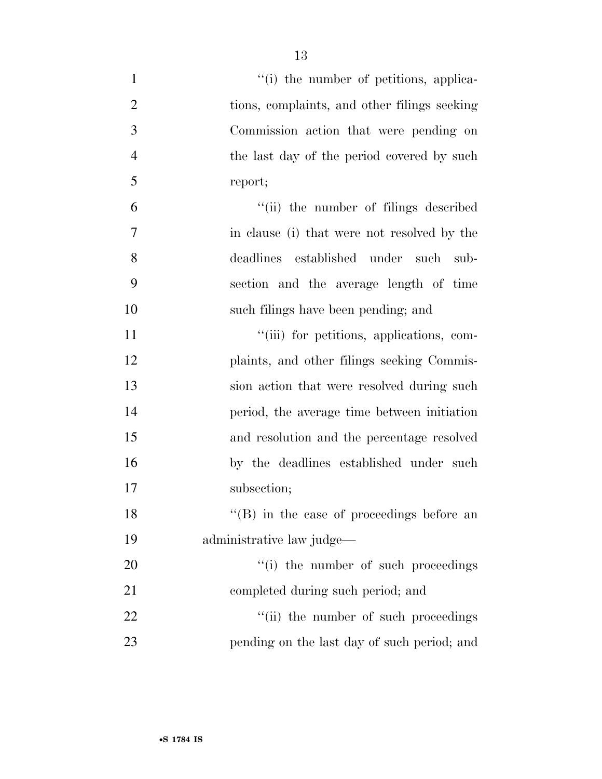| $\mathbf{1}$   | "(i) the number of petitions, applica-            |
|----------------|---------------------------------------------------|
| $\overline{2}$ | tions, complaints, and other filings seeking      |
| 3              | Commission action that were pending on            |
| $\overline{4}$ | the last day of the period covered by such        |
| 5              | report;                                           |
| 6              | "(ii) the number of filings described             |
| 7              | in clause (i) that were not resolved by the       |
| 8              | deadlines established under such<br>sub-          |
| 9              | section and the average length of time            |
| 10             | such filings have been pending; and               |
| 11             | "(iii) for petitions, applications, com-          |
| 12             | plaints, and other filings seeking Commis-        |
| 13             | sion action that were resolved during such        |
| 14             | period, the average time between initiation       |
| 15             | and resolution and the percentage resolved        |
| 16             | by the deadlines established under such           |
| 17             | subsection;                                       |
| 18             | $\lq\lq$ (B) in the case of proceedings before an |
| 19             | administrative law judge—                         |
| 20             | "(i) the number of such proceedings               |
| 21             | completed during such period; and                 |
| 22             | "(ii) the number of such proceedings              |
| 23             | pending on the last day of such period; and       |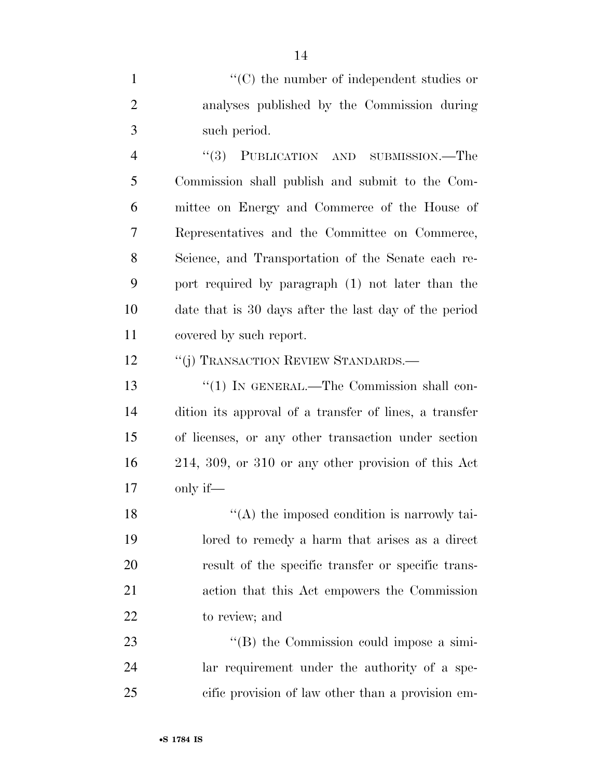1  $\lq(0)$  the number of independent studies or analyses published by the Commission during such period.

 ''(3) PUBLICATION AND SUBMISSION.—The Commission shall publish and submit to the Com- mittee on Energy and Commerce of the House of Representatives and the Committee on Commerce, Science, and Transportation of the Senate each re- port required by paragraph (1) not later than the date that is 30 days after the last day of the period covered by such report.

12 "(j) TRANSACTION REVIEW STANDARDS.—

13 "(1) IN GENERAL.—The Commission shall con- dition its approval of a transfer of lines, a transfer of licenses, or any other transaction under section 214, 309, or 310 or any other provision of this Act only if—

18 ''(A) the imposed condition is narrowly tai- lored to remedy a harm that arises as a direct result of the specific transfer or specific trans- action that this Act empowers the Commission to review; and

23 ''(B) the Commission could impose a simi- lar requirement under the authority of a spe-cific provision of law other than a provision em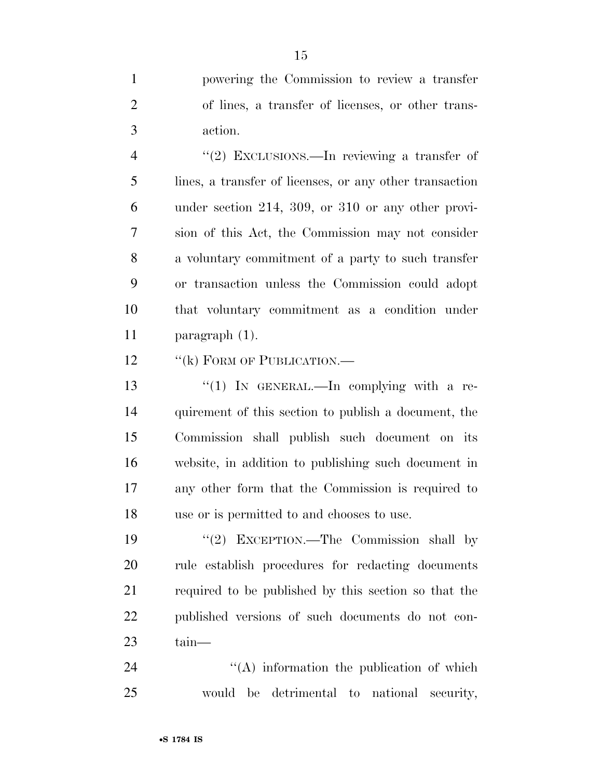powering the Commission to review a transfer of lines, a transfer of licenses, or other trans-action.

4 "(2) EXCLUSIONS.—In reviewing a transfer of lines, a transfer of licenses, or any other transaction under section 214, 309, or 310 or any other provi- sion of this Act, the Commission may not consider a voluntary commitment of a party to such transfer or transaction unless the Commission could adopt that voluntary commitment as a condition under paragraph (1).

12 "(k) FORM OF PUBLICATION.—

13 "(1) In GENERAL.—In complying with a re- quirement of this section to publish a document, the Commission shall publish such document on its website, in addition to publishing such document in any other form that the Commission is required to use or is permitted to and chooses to use.

19 ''(2) EXCEPTION.—The Commission shall by rule establish procedures for redacting documents required to be published by this section so that the published versions of such documents do not con-tain—

24 ''(A) information the publication of which would be detrimental to national security,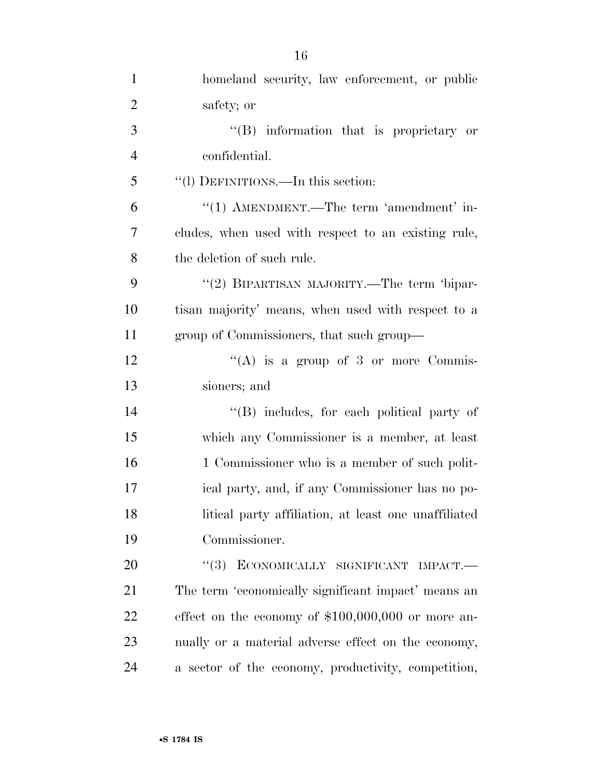| $\mathbf{1}$   | homeland security, law enforcement, or public        |
|----------------|------------------------------------------------------|
| $\overline{2}$ | safety; or                                           |
| $\mathfrak{Z}$ | $\lq\lq (B)$ information that is proprietary or      |
| $\overline{4}$ | confidential.                                        |
| 5              | "(l) DEFINITIONS.—In this section:                   |
| 6              | "(1) AMENDMENT.—The term 'amendment' in-             |
| 7              | cludes, when used with respect to an existing rule,  |
| 8              | the deletion of such rule.                           |
| 9              | "(2) BIPARTISAN MAJORITY.—The term 'bipar-           |
| 10             | tisan majority' means, when used with respect to a   |
| 11             | group of Commissioners, that such group—             |
| 12             | "(A) is a group of 3 or more Commis-                 |
| 13             | sioners; and                                         |
| 14             | "(B) includes, for each political party of           |
| 15             | which any Commissioner is a member, at least         |
| 16             | 1 Commissioner who is a member of such polit-        |
| 17             | ical party, and, if any Commissioner has no po-      |
| 18             | litical party affiliation, at least one unaffiliated |
| 19             | Commissioner.                                        |
| 20             | (3)<br>ECONOMICALLY SIGNIFICANT IMPACT.-             |
| 21             | The term 'economically significant impact' means an  |
| 22             | effect on the economy of $$100,000,000$ or more an-  |
| 23             | nually or a material adverse effect on the economy,  |
| 24             | a sector of the economy, productivity, competition,  |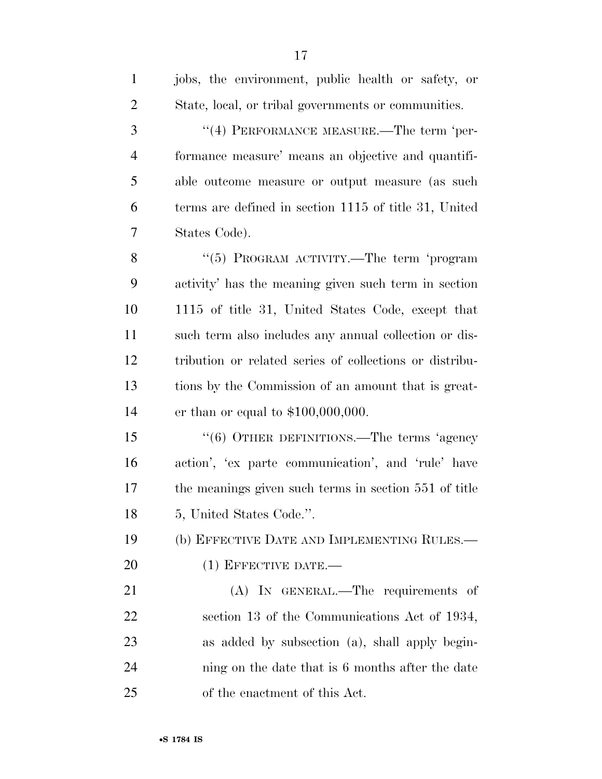| $\mathbf{1}$   | jobs, the environment, public health or safety, or      |
|----------------|---------------------------------------------------------|
| $\overline{2}$ | State, local, or tribal governments or communities.     |
| 3              | "(4) PERFORMANCE MEASURE.—The term 'per-                |
| $\overline{4}$ | formance measure' means an objective and quantifi-      |
| 5              | able outcome measure or output measure (as such         |
| 6              | terms are defined in section 1115 of title 31, United   |
| 7              | States Code).                                           |
| 8              | "(5) PROGRAM ACTIVITY.—The term 'program                |
| 9              | activity' has the meaning given such term in section    |
| 10             | 1115 of title 31, United States Code, except that       |
| 11             | such term also includes any annual collection or dis-   |
| 12             | tribution or related series of collections or distribu- |
| 13             | tions by the Commission of an amount that is great-     |
| 14             | er than or equal to $$100,000,000$ .                    |
| 15             | "(6) OTHER DEFINITIONS.—The terms 'agency               |
| 16             | action', 'ex parte communication', and 'rule' have      |
| 17             | the meanings given such terms in section 551 of title   |
| 18             | 5, United States Code.".                                |
| 19             | (b) EFFECTIVE DATE AND IMPLEMENTING RULES.—             |
| 20             | $(1)$ EFFECTIVE DATE.—                                  |
| 21             | (A) IN GENERAL.—The requirements of                     |
| 22             | section 13 of the Communications Act of 1934,           |
| 23             | as added by subsection (a), shall apply begin-          |
| 24             | ning on the date that is 6 months after the date        |
| 25             | of the enactment of this Act.                           |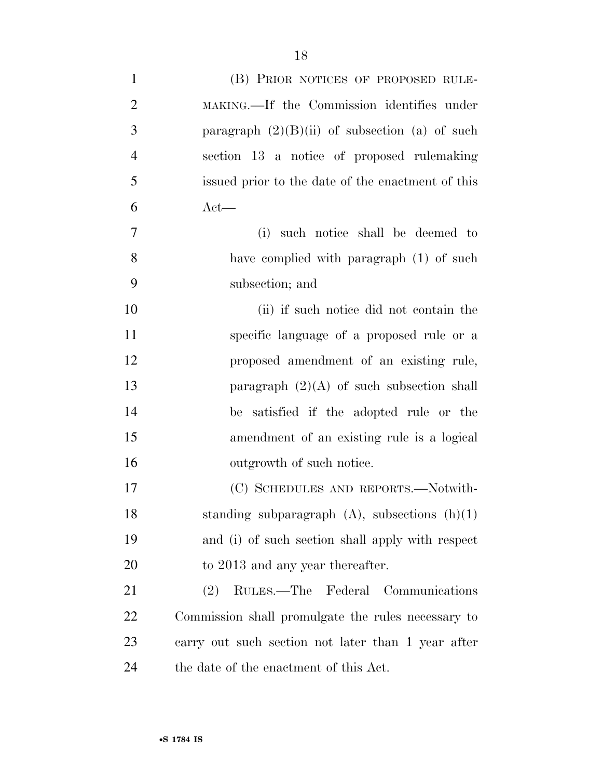| $\mathbf{1}$   | (B) PRIOR NOTICES OF PROPOSED RULE-                |
|----------------|----------------------------------------------------|
| $\overline{2}$ | MAKING.—If the Commission identifies under         |
| 3              | paragraph $(2)(B)(ii)$ of subsection (a) of such   |
| $\overline{4}$ | section 13 a notice of proposed rulemaking         |
| 5              | issued prior to the date of the enactment of this  |
| 6              | $Act$ —                                            |
| $\tau$         | such notice shall be deemed to<br>(i)              |
| 8              | have complied with paragraph (1) of such           |
| 9              | subsection; and                                    |
| 10             | (ii) if such notice did not contain the            |
| 11             | specific language of a proposed rule or a          |
| 12             | proposed amendment of an existing rule,            |
| 13             | paragraph $(2)(A)$ of such subsection shall        |
| 14             | be satisfied if the adopted rule or the            |
| 15             | amendment of an existing rule is a logical         |
| 16             | outgrowth of such notice.                          |
| 17             | (C) SCHEDULES AND REPORTS.—Notwith-                |
| 18             | standing subparagraph $(A)$ , subsections $(h)(1)$ |
| 19             | and (i) of such section shall apply with respect   |
| 20             | to 2013 and any year thereafter.                   |
| 21             | RULES.—The Federal Communications<br>(2)           |
| 22             | Commission shall promulgate the rules necessary to |
| 23             | carry out such section not later than 1 year after |
| 24             | the date of the enactment of this Act.             |